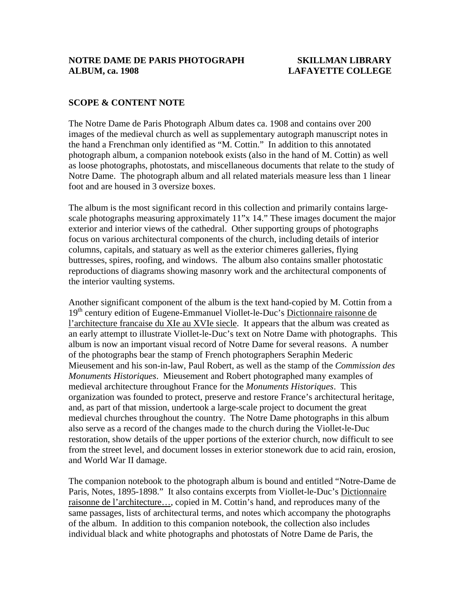# **SCOPE & CONTENT NOTE**

The Notre Dame de Paris Photograph Album dates ca. 1908 and contains over 200 images of the medieval church as well as supplementary autograph manuscript notes in the hand a Frenchman only identified as "M. Cottin." In addition to this annotated photograph album, a companion notebook exists (also in the hand of M. Cottin) as well as loose photographs, photostats, and miscellaneous documents that relate to the study of Notre Dame. The photograph album and all related materials measure less than 1 linear foot and are housed in 3 oversize boxes.

The album is the most significant record in this collection and primarily contains largescale photographs measuring approximately 11"x 14." These images document the major exterior and interior views of the cathedral. Other supporting groups of photographs focus on various architectural components of the church, including details of interior columns, capitals, and statuary as well as the exterior chimeres galleries, flying buttresses, spires, roofing, and windows. The album also contains smaller photostatic reproductions of diagrams showing masonry work and the architectural components of the interior vaulting systems.

Another significant component of the album is the text hand-copied by M. Cottin from a 19<sup>th</sup> century edition of Eugene-Emmanuel Viollet-le-Duc's Dictionnaire raisonne de l'architecture francaise du XIe au XVIe siecle. It appears that the album was created as an early attempt to illustrate Viollet-le-Duc's text on Notre Dame with photographs. This album is now an important visual record of Notre Dame for several reasons. A number of the photographs bear the stamp of French photographers Seraphin Mederic Mieusement and his son-in-law, Paul Robert, as well as the stamp of the *Commission des Monuments Historiques*. Mieusement and Robert photographed many examples of medieval architecture throughout France for the *Monuments Historiques*. This organization was founded to protect, preserve and restore France's architectural heritage, and, as part of that mission, undertook a large-scale project to document the great medieval churches throughout the country. The Notre Dame photographs in this album also serve as a record of the changes made to the church during the Viollet-le-Duc restoration, show details of the upper portions of the exterior church, now difficult to see from the street level, and document losses in exterior stonework due to acid rain, erosion, and World War II damage.

The companion notebook to the photograph album is bound and entitled "Notre-Dame de Paris, Notes, 1895-1898." It also contains excerpts from Viollet-le-Duc's Dictionnaire raisonne de l'architecture…, copied in M. Cottin's hand, and reproduces many of the same passages, lists of architectural terms, and notes which accompany the photographs of the album. In addition to this companion notebook, the collection also includes individual black and white photographs and photostats of Notre Dame de Paris, the